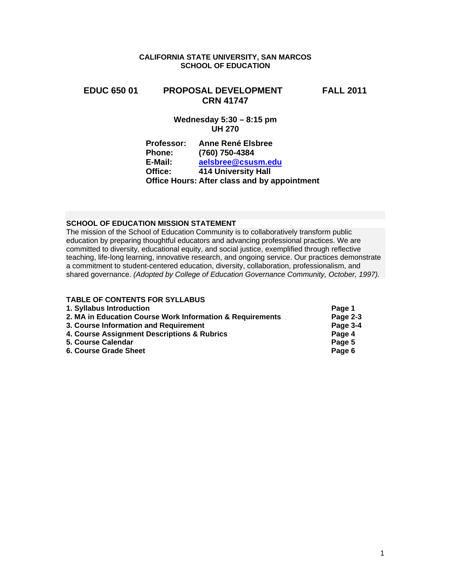## **CALIFORNIA STATE UNIVERSITY, SAN MARCOS SCHOOL OF EDUCATION**

# **EDUC 650 01 PROPOSAL DEVELOPMENT FALL 2011 CRN 41747**

# **Wednesday 5:30 – 8:15 pm UH 270**

| <b>Professor:</b> | <b>Anne René Elsbree</b>                     |
|-------------------|----------------------------------------------|
| <b>Phone:</b>     | (760) 750-4384                               |
| E-Mail:           | aelsbree@csusm.edu                           |
| Office:           | <b>414 University Hall</b>                   |
|                   | Office Hours: After class and by appointment |

# **SCHOOL OF EDUCATION MISSION STATEMENT**

The mission of the School of Education Community is to collaboratively transform public education by preparing thoughtful educators and advancing professional practices. We are committed to diversity, educational equity, and social justice, exemplified through reflective teaching, life-long learning, innovative research, and ongoing service. Our practices demonstrate a commitment to student-centered education, diversity, collaboration, professionalism, and shared governance. *(Adopted by College of Education Governance Community, October, 1997).* 

| <b>TABLE OF CONTENTS FOR SYLLABUS</b>                     |          |
|-----------------------------------------------------------|----------|
| 1. Syllabus Introduction                                  | Page 1   |
| 2. MA in Education Course Work Information & Requirements | Page 2-3 |
| 3. Course Information and Requirement                     | Page 3-4 |
| 4. Course Assignment Descriptions & Rubrics               | Page 4   |
| 5. Course Calendar                                        | Page 5   |
| <b>6. Course Grade Sheet</b>                              | Page 6   |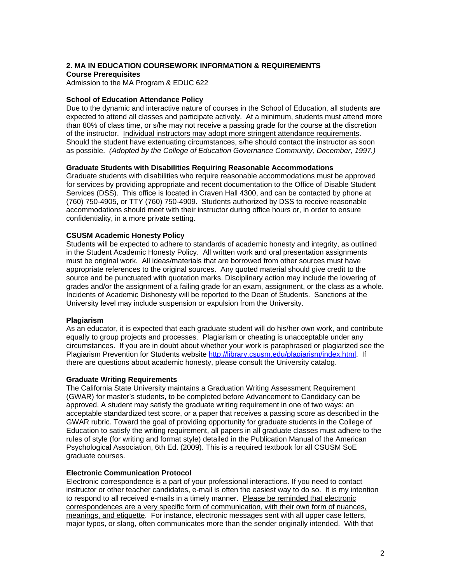# **2. MA IN EDUCATION COURSEWORK INFORMATION & REQUIREMENTS Course Prerequisites**

Admission to the MA Program & EDUC 622

## **School of Education Attendance Policy**

 as possible. *(Adopted by the College of Education Governance Community, December, 1997.)*  Due to the dynamic and interactive nature of courses in the School of Education, all students are expected to attend all classes and participate actively. At a minimum, students must attend more than 80% of class time, or s/he may not receive a passing grade for the course at the discretion of the instructor. Individual instructors may adopt more stringent attendance requirements. Should the student have extenuating circumstances, s/he should contact the instructor as soon

## **Graduate Students with Disabilities Requiring Reasonable Accommodations**

Graduate students with disabilities who require reasonable accommodations must be approved for services by providing appropriate and recent documentation to the Office of Disable Student Services (DSS). This office is located in Craven Hall 4300, and can be contacted by phone at (760) 750-4905, or TTY (760) 750-4909. Students authorized by DSS to receive reasonable accommodations should meet with their instructor during office hours or, in order to ensure confidentiality, in a more private setting.

## **CSUSM Academic Honesty Policy**

Students will be expected to adhere to standards of academic honesty and integrity, as outlined in the Student Academic Honesty Policy. All written work and oral presentation assignments must be original work. All ideas/materials that are borrowed from other sources must have appropriate references to the original sources. Any quoted material should give credit to the source and be punctuated with quotation marks. Disciplinary action may include the lowering of grades and/or the assignment of a failing grade for an exam, assignment, or the class as a whole. Incidents of Academic Dishonesty will be reported to the Dean of Students. Sanctions at the University level may include suspension or expulsion from the University.

## **Plagiarism**

As an educator, it is expected that each graduate student will do his/her own work, and contribute equally to group projects and processes. Plagiarism or cheating is unacceptable under any circumstances. If you are in doubt about whether your work is paraphrased or plagiarized see the Plagiarism Prevention for Students website http://library.csusm.edu/plagiarism/index.html. If there are questions about academic honesty, please consult the University catalog.

## **Graduate Writing Requirements**

The California State University maintains a Graduation Writing Assessment Requirement (GWAR) for master's students, to be completed before Advancement to Candidacy can be approved. A student may satisfy the graduate writing requirement in one of two ways: an acceptable standardized test score, or a paper that receives a passing score as described in the GWAR rubric. Toward the goal of providing opportunity for graduate students in the College of Education to satisfy the writing requirement, all papers in all graduate classes must adhere to the rules of style (for writing and format style) detailed in the Publication Manual of the American Psychological Association, 6th Ed. (2009). This is a required textbook for all CSUSM SoE graduate courses.

## **Electronic Communication Protocol**

Electronic correspondence is a part of your professional interactions. If you need to contact instructor or other teacher candidates, e-mail is often the easiest way to do so. It is my intention to respond to all received e-mails in a timely manner. Please be reminded that electronic correspondences are a very specific form of communication, with their own form of nuances, meanings, and etiquette. For instance, electronic messages sent with all upper case letters, major typos, or slang, often communicates more than the sender originally intended. With that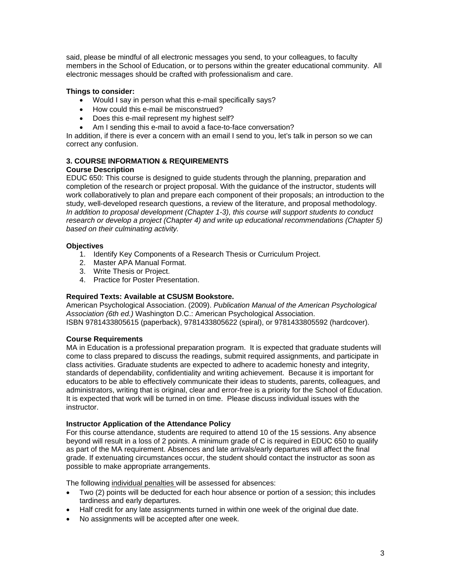said, please be mindful of all electronic messages you send, to your colleagues, to faculty members in the School of Education, or to persons within the greater educational community. All electronic messages should be crafted with professionalism and care.

# **Things to consider:**

- Would I say in person what this e-mail specifically says?
- How could this e-mail be misconstrued?
- Does this e-mail represent my highest self?
- Am I sending this e-mail to avoid a face-to-face conversation?

In addition, if there is ever a concern with an email I send to you, let's talk in person so we can correct any confusion.

#### **3. COURSE INFORMATION & REQUIREMENTS Course Description**

EDUC 650: This course is designed to guide students through the planning, preparation and completion of the research or project proposal. With the guidance of the instructor, students will work collaboratively to plan and prepare each component of their proposals; an introduction to the study, well-developed research questions, a review of the literature, and proposal methodology. *In addition to proposal development (Chapter 1-3), this course will support students to conduct research or develop a project (Chapter 4) and write up educational recommendations (Chapter 5) based on their culminating activity.* 

# **Objectives**

- 1. Identify Key Components of a Research Thesis or Curriculum Project.
- 2. Master APA Manual Format.
- 3. Write Thesis or Project.
- 4. Practice for Poster Presentation.

# **Required Texts: Available at CSUSM Bookstore.**

American Psychological Association. (2009). *Publication Manual of the American Psychological Association (6th ed.)* Washington D.C.: American Psychological Association. ISBN 9781433805615 (paperback), 9781433805622 (spiral), or 9781433805592 (hardcover).

# **Course Requirements**

 instructor. MA in Education is a professional preparation program. It is expected that graduate students will come to class prepared to discuss the readings, submit required assignments, and participate in class activities. Graduate students are expected to adhere to academic honesty and integrity, standards of dependability, confidentiality and writing achievement. Because it is important for educators to be able to effectively communicate their ideas to students, parents, colleagues, and administrators, writing that is original, clear and error-free is a priority for the School of Education. It is expected that work will be turned in on time. Please discuss individual issues with the

## **Instructor Application of the Attendance Policy**

For this course attendance, students are required to attend 10 of the 15 sessions. Any absence beyond will result in a loss of 2 points. A minimum grade of C is required in EDUC 650 to qualify as part of the MA requirement. Absences and late arrivals/early departures will affect the final grade. If extenuating circumstances occur, the student should contact the instructor as soon as possible to make appropriate arrangements.

The following individual penalties will be assessed for absences:

- Two (2) points will be deducted for each hour absence or portion of a session; this includes tardiness and early departures.
- Half credit for any late assignments turned in within one week of the original due date.
- No assignments will be accepted after one week.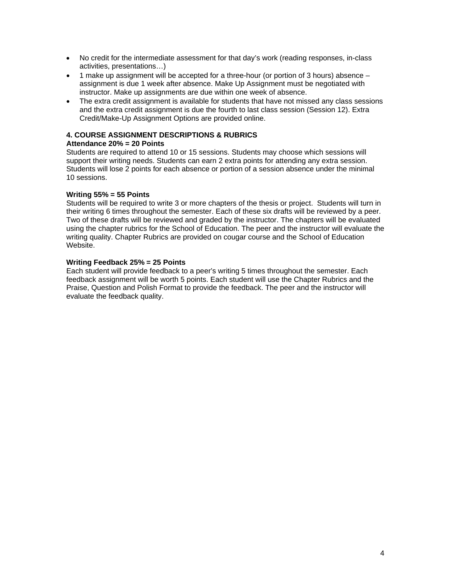- No credit for the intermediate assessment for that day's work (reading responses, in-class activities, presentations…)
- 1 make up assignment will be accepted for a three-hour (or portion of 3 hours) absence assignment is due 1 week after absence. Make Up Assignment must be negotiated with instructor. Make up assignments are due within one week of absence.
- The extra credit assignment is available for students that have not missed any class sessions and the extra credit assignment is due the fourth to last class session (Session 12). Extra Credit/Make-Up Assignment Options are provided online.

# **4. COURSE ASSIGNMENT DESCRIPTIONS & RUBRICS**

# **Attendance 20% = 20 Points**

Students are required to attend 10 or 15 sessions. Students may choose which sessions will support their writing needs. Students can earn 2 extra points for attending any extra session. Students will lose 2 points for each absence or portion of a session absence under the minimal 10 sessions.

# **Writing 55% = 55 Points**

Students will be required to write 3 or more chapters of the thesis or project. Students will turn in their writing 6 times throughout the semester. Each of these six drafts will be reviewed by a peer. Two of these drafts will be reviewed and graded by the instructor. The chapters will be evaluated using the chapter rubrics for the School of Education. The peer and the instructor will evaluate the writing quality. Chapter Rubrics are provided on cougar course and the School of Education Website.

## **Writing Feedback 25% = 25 Points**

Each student will provide feedback to a peer's writing 5 times throughout the semester. Each feedback assignment will be worth 5 points. Each student will use the Chapter Rubrics and the Praise, Question and Polish Format to provide the feedback. The peer and the instructor will evaluate the feedback quality.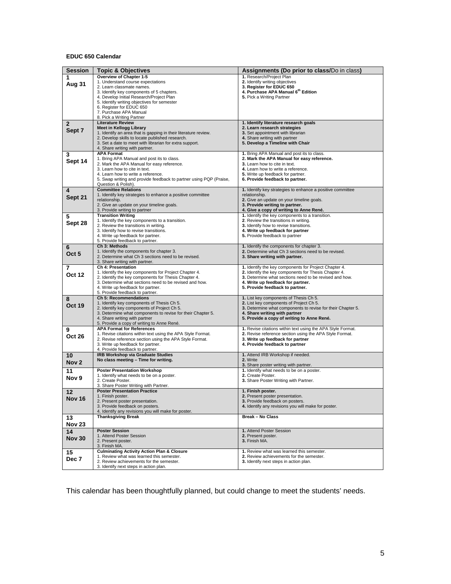### **EDUC 650 Calendar**

| <b>Session</b>   | <b>Topic &amp; Objectives</b>                                                                      | Assignments (Do prior to class/Do in class)                                                                   |  |  |
|------------------|----------------------------------------------------------------------------------------------------|---------------------------------------------------------------------------------------------------------------|--|--|
| 1                | Overview of Chapter 1-5                                                                            | 1. Research/Project Plan                                                                                      |  |  |
| Aug 31           | 1. Understand course expectations                                                                  | 2. Identify writing objectives                                                                                |  |  |
|                  | 2. Learn classmate names.                                                                          | 3. Register for EDUC 650<br>4. Purchase APA Manual 6 <sup>th</sup> Edition                                    |  |  |
|                  | 3. Identify key components of 5 chapters.<br>4. Develop Initial Research/Project Plan              | 5. Pick a Writing Partner                                                                                     |  |  |
|                  | 5. Identify writing objectives for semester                                                        |                                                                                                               |  |  |
|                  | 6. Register for EDUC 650                                                                           |                                                                                                               |  |  |
|                  | 7. Purchase APA Manual                                                                             |                                                                                                               |  |  |
|                  | 8. Pick a Writing Partner                                                                          |                                                                                                               |  |  |
| $\mathbf{2}$     | <b>Literature Review</b><br><b>Meet in Kellogg Library</b>                                         | 1. Identify literature research goals<br>2. Learn research strategies                                         |  |  |
| Sept 7           | 1. Identify an area that is gapping in their literature review.                                    | 3. Set appointment with librarian                                                                             |  |  |
|                  | 2. Develop skills to locate published research.                                                    | 4. Share writing with partner                                                                                 |  |  |
|                  | 3. Set a date to meet with librarian for extra support.                                            | 5. Develop a Timeline with Chair                                                                              |  |  |
|                  | 4. Share writing with partner.<br><b>APA Format</b>                                                |                                                                                                               |  |  |
| 3                | 1. Bring APA Manual and post its to class.                                                         | 1. Bring APA Manual and post its to class.<br>2. Mark the APA Manual for easy reference.                      |  |  |
| Sept 14          | 2. Mark the APA Manual for easy reference.                                                         | 3. Learn how to cite in text.                                                                                 |  |  |
|                  | 3. Learn how to cite in text.                                                                      | 4. Learn how to write a reference.                                                                            |  |  |
|                  | 4. Learn how to write a reference.                                                                 | 5. Write up feedback for partner.                                                                             |  |  |
|                  | 5. Swap writing and provide feedback to partner using PQP (Praise,<br>Question & Polish).          | 6. Provide feedback to partner.                                                                               |  |  |
| 4                | <b>Committee Relations</b>                                                                         | 1. Identify key strategies to enhance a positive committee                                                    |  |  |
| Sept 21          | 1. Identify key strategies to enhance a positive committee                                         | relationship.                                                                                                 |  |  |
|                  | relationship.                                                                                      | 2. Give an update on your timeline goals.                                                                     |  |  |
|                  | 2. Give an update on your timeline goals.<br>3. Provide writing to partner                         | 3. Provide writing to partner.<br>4. Give a copy of writing to Anne René.                                     |  |  |
| 5                | <b>Transition Writing</b>                                                                          | 1. Identify the key components to a transition.                                                               |  |  |
|                  | 1. Identify the key components to a transition.                                                    | 2. Review the transitions in writing.                                                                         |  |  |
| Sept 28          | 2. Review the transitions in writing.                                                              | 3. Identify how to revise transitions.                                                                        |  |  |
|                  | 3. Identify how to revise transitions.                                                             | 4. Write up feedback for partner                                                                              |  |  |
|                  | 4. Write up feedback for partner.<br>5. Provide feedback to partner.                               | 5. Provide feedback to partner                                                                                |  |  |
| 6                | Ch 3: Methods                                                                                      | 1. Identify the components for chapter 3.                                                                     |  |  |
| Oct <sub>5</sub> | 1. Identify the components for chapter 3.                                                          | 2. Determine what Ch 3 sections need to be revised.                                                           |  |  |
|                  | 2. Determine what Ch 3 sections need to be revised.                                                | 3. Share writing with partner.                                                                                |  |  |
|                  | 3. Share writing with partner.                                                                     |                                                                                                               |  |  |
| 7                | Ch 4: Presentation<br>1. Identify the key components for Project Chapter 4.                        | 1. Identify the key components for Project Chapter 4.<br>2. Identify the key components for Thesis Chapter 4. |  |  |
| <b>Oct 12</b>    | 2. Identify the key components for Thesis Chapter 4.                                               | 3. Determine what sections need to be revised and how.                                                        |  |  |
|                  | 3. Determine what sections need to be revised and how.                                             | 4. Write up feedback for partner.                                                                             |  |  |
|                  | 4. Write up feedback for partner.                                                                  | 5. Provide feedback to partner.                                                                               |  |  |
|                  | 5. Provide feedback to partner.<br><b>Ch 5: Recommendations</b>                                    | 1. List key components of Thesis Ch 5.                                                                        |  |  |
| 8                | 1. Identify key components of Thesis Ch 5.                                                         | 2. List key components of Project Ch 5.                                                                       |  |  |
| <b>Oct 19</b>    | 2. Identify key components of Project Ch 5.                                                        | 3. Determine what components to revise for their Chapter 5.                                                   |  |  |
|                  | 3. Determine what components to revise for their Chapter 5.                                        | 4. Share writing with partner                                                                                 |  |  |
|                  | 4. Share writing with partner<br>5. Provide a copy of writing to Anne René.                        | 5. Provide a copy of writing to Anne René.                                                                    |  |  |
| 9                | <b>APA Format for References</b>                                                                   | 1. Revise citations within text using the APA Style Format.                                                   |  |  |
|                  | 1. Revise citations within text using the APA Style Format.                                        | 2. Revise reference section using the APA Style Format.                                                       |  |  |
| <b>Oct 26</b>    | 2. Revise reference section using the APA Style Format.                                            | 3. Write up feedback for partner                                                                              |  |  |
|                  | 3. Write up feedback for partner.                                                                  | 4. Provide feedback to partner                                                                                |  |  |
| 10               | 4. Provide feedback to partner.<br><b>IRB Workshop via Graduate Studies</b>                        | 1. Attend IRB Workshop if needed.                                                                             |  |  |
|                  | No class meeting - Time for writing.                                                               | 2. Write                                                                                                      |  |  |
| Nov <sub>2</sub> |                                                                                                    | 3. Share poster writing with partner.                                                                         |  |  |
| 11               | <b>Poster Presentation Workshop</b>                                                                | 1. Identify what needs to be on a poster.                                                                     |  |  |
| Nov 9            | 1. Identify what needs to be on a poster.<br>2. Create Poster.                                     | 2. Create Poster.<br>3. Share Poster Writing with Partner.                                                    |  |  |
|                  | 3. Share Poster Writing with Partner.                                                              |                                                                                                               |  |  |
| 12               | <b>Poster Presentation Practice</b>                                                                | 1. Finish poster.                                                                                             |  |  |
| <b>Nov 16</b>    | 1. Finish poster.                                                                                  | 2. Present poster presentation.                                                                               |  |  |
|                  | 2. Present poster presentation.                                                                    | 3. Provide feedback on posters.                                                                               |  |  |
|                  | 3. Provide feedback on posters.<br>4. Identify any revisions you will make for poster.             | 4. Identify any revisions you will make for poster.                                                           |  |  |
| 13               | <b>Thanksgiving Break</b>                                                                          | <b>Break - No Class</b>                                                                                       |  |  |
| <b>Nov 23</b>    |                                                                                                    |                                                                                                               |  |  |
| 14               | <b>Poster Session</b>                                                                              | 1. Attend Poster Session                                                                                      |  |  |
|                  | 1. Attend Poster Session                                                                           | 2. Present poster.                                                                                            |  |  |
| <b>Nov 30</b>    | 2. Present poster.                                                                                 | 3. Finish MA.                                                                                                 |  |  |
|                  | 3. Finish MA.                                                                                      |                                                                                                               |  |  |
| 15               | <b>Culminating Activity Action Plan &amp; Closure</b><br>1. Review what was learned this semester. | 1. Review what was learned this semester.<br>2. Review achievements for the semester.                         |  |  |
| Dec 7            | 2. Review achievements for the semester.                                                           | 3. Identify next steps in action plan.                                                                        |  |  |
|                  | 3. Identify next steps in action plan.                                                             |                                                                                                               |  |  |

This calendar has been thoughtfully planned, but could change to meet the students' needs.